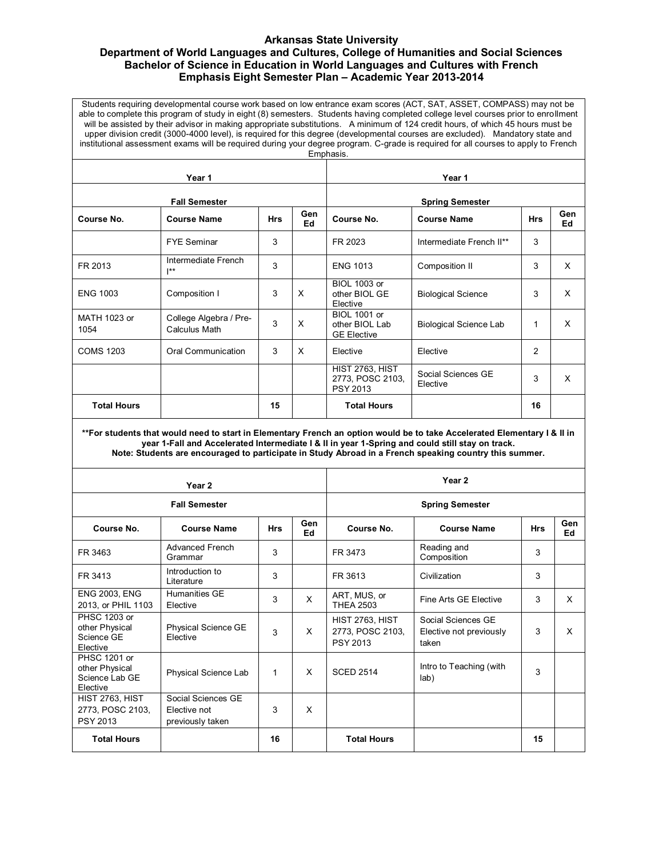## **Arkansas State University Department of World Languages and Cultures, College of Humanities and Social Sciences Bachelor of Science in Education in World Languages and Cultures with French Emphasis Eight Semester Plan – Academic Year 2013-2014**

Students requiring developmental course work based on low entrance exam scores (ACT, SAT, ASSET, COMPASS) may not be able to complete this program of study in eight (8) semesters. Students having completed college level courses prior to enrollment will be assisted by their advisor in making appropriate substitutions. A minimum of 124 credit hours, of which 45 hours must be upper division credit (3000-4000 level), is required for this degree (developmental courses are excluded). Mandatory state and institutional assessment exams will be required during your degree program. C-grade is required for all courses to apply to French Emphasis.

| Year 1               |                                                  |            |           | Year 1                                                        |                                |              |                  |
|----------------------|--------------------------------------------------|------------|-----------|---------------------------------------------------------------|--------------------------------|--------------|------------------|
| <b>Fall Semester</b> |                                                  |            |           | <b>Spring Semester</b>                                        |                                |              |                  |
| Course No.           | <b>Course Name</b>                               | <b>Hrs</b> | Gen<br>Ed | Course No.                                                    | <b>Course Name</b>             | <b>Hrs</b>   | <b>Gen</b><br>Ed |
|                      | <b>FYE Seminar</b>                               | 3          |           | FR 2023                                                       | Intermediate French II**       | 3            |                  |
| FR 2013              | Intermediate French<br>$\mathsf{I}^{\star\star}$ | 3          |           | <b>ENG 1013</b>                                               | Composition II                 | 3            | X                |
| <b>ENG 1003</b>      | Composition I                                    | 3          | X         | <b>BIOL 1003 or</b><br>other BIOL GE<br>Elective              | <b>Biological Science</b>      | 3            | x                |
| MATH 1023 or<br>1054 | College Algebra / Pre-<br>Calculus Math          | 3          | $\times$  | <b>BIOL 1001 or</b><br>other BIOL Lab<br><b>GE Elective</b>   | <b>Biological Science Lab</b>  | $\mathbf{1}$ | x                |
| <b>COMS 1203</b>     | <b>Oral Communication</b>                        | 3          | X         | Elective                                                      | Elective                       | 2            |                  |
|                      |                                                  |            |           | <b>HIST 2763, HIST</b><br>2773, POSC 2103,<br><b>PSY 2013</b> | Social Sciences GE<br>Elective | 3            | X                |
| <b>Total Hours</b>   |                                                  | 15         |           | <b>Total Hours</b>                                            |                                | 16           |                  |

**\*\*For students that would need to start in Elementary French an option would be to take Accelerated Elementary I & II in year 1-Fall and Accelerated Intermediate I & II in year 1-Spring and could still stay on track. Note: Students are encouraged to participate in Study Abroad in a French speaking country this summer.**

| Year 2                                                              |                                                        |            |           | Year <sub>2</sub>                                      |                                                        |            |           |
|---------------------------------------------------------------------|--------------------------------------------------------|------------|-----------|--------------------------------------------------------|--------------------------------------------------------|------------|-----------|
| <b>Fall Semester</b>                                                |                                                        |            |           | <b>Spring Semester</b>                                 |                                                        |            |           |
| Course No.                                                          | <b>Course Name</b>                                     | <b>Hrs</b> | Gen<br>Ed | Course No.                                             | <b>Course Name</b>                                     | <b>Hrs</b> | Gen<br>Ed |
| FR 3463                                                             | <b>Advanced French</b><br>Grammar                      | 3          |           | FR 3473                                                | Reading and<br>Composition                             | 3          |           |
| FR 3413                                                             | Introduction to<br>Literature                          | 3          |           | FR 3613                                                | Civilization                                           | 3          |           |
| <b>ENG 2003, ENG</b><br>2013, or PHIL 1103                          | Humanities GE<br>Elective                              | 3          | X         | ART, MUS, or<br><b>THEA 2503</b>                       | Fine Arts GE Elective                                  | 3          | X         |
| PHSC 1203 or<br>other Physical<br>Science GE<br>Elective            | Physical Science GE<br>Elective                        | 3          | X         | <b>HIST 2763, HIST</b><br>2773, POSC 2103,<br>PSY 2013 | Social Sciences GF<br>Elective not previously<br>taken | 3          | X         |
| <b>PHSC 1201 or</b><br>other Physical<br>Science Lab GE<br>Elective | Physical Science Lab                                   | 1          | X         | <b>SCED 2514</b>                                       | Intro to Teaching (with<br>lab)                        | 3          |           |
| <b>HIST 2763, HIST</b><br>2773, POSC 2103,<br><b>PSY 2013</b>       | Social Sciences GE<br>Elective not<br>previously taken | 3          | X         |                                                        |                                                        |            |           |
| <b>Total Hours</b>                                                  |                                                        | 16         |           | <b>Total Hours</b>                                     |                                                        | 15         |           |